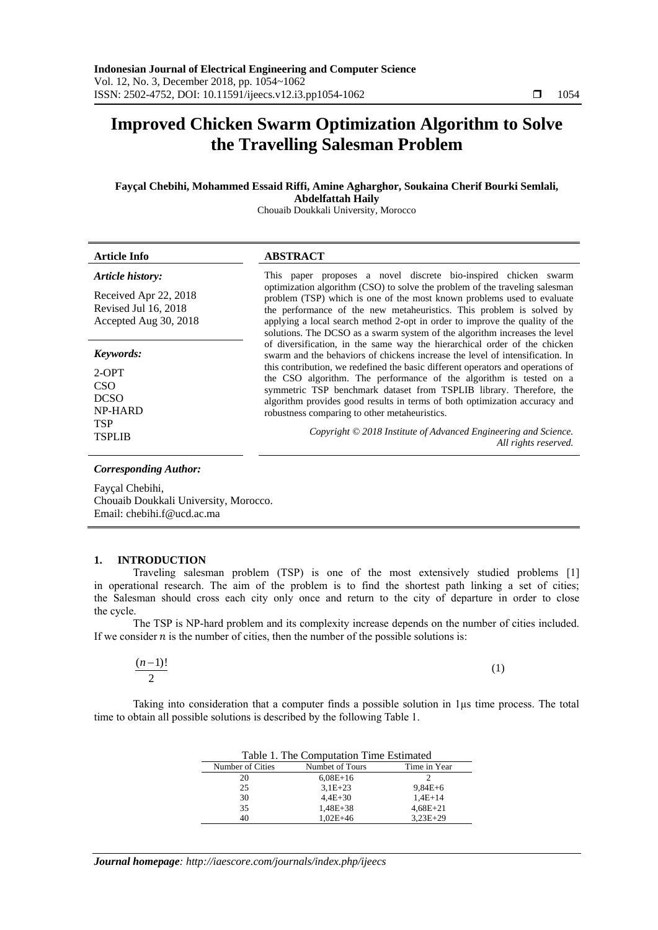# **Improved Chicken Swarm Optimization Algorithm to Solve the Travelling Salesman Problem**

# **Fayçal Chebihi, Mohammed Essaid Riffi, Amine Agharghor, Soukaina Cherif Bourki Semlali, Abdelfattah Haily**

Chouaib Doukkali University, Morocco

| <b>Article Info</b>                                                                         | <b>ABSTRACT</b>                                                                                                                                                                                                                                                                                                                                                                                                                                                                                                                                                                                                      |
|---------------------------------------------------------------------------------------------|----------------------------------------------------------------------------------------------------------------------------------------------------------------------------------------------------------------------------------------------------------------------------------------------------------------------------------------------------------------------------------------------------------------------------------------------------------------------------------------------------------------------------------------------------------------------------------------------------------------------|
| Article history:<br>Received Apr 22, 2018<br>Revised Jul 16, 2018<br>Accepted Aug 30, 2018  | This paper proposes a novel discrete bio-inspired chicken swarm<br>optimization algorithm (CSO) to solve the problem of the traveling salesman<br>problem (TSP) which is one of the most known problems used to evaluate<br>the performance of the new metaheuristics. This problem is solved by<br>applying a local search method 2-opt in order to improve the quality of the<br>solutions. The DCSO as a swarm system of the algorithm increases the level                                                                                                                                                        |
| Keywords:<br>$2-OPT$<br>CSO<br><b>DCSO</b><br><b>NP-HARD</b><br><b>TSP</b><br><b>TSPLIB</b> | of diversification, in the same way the hierarchical order of the chicken<br>swarm and the behaviors of chickens increase the level of intensification. In<br>this contribution, we redefined the basic different operators and operations of<br>the CSO algorithm. The performance of the algorithm is tested on a<br>symmetric TSP benchmark dataset from TSPLIB library. Therefore, the<br>algorithm provides good results in terms of both optimization accuracy and<br>robustness comparing to other metaheuristics.<br>Copyright © 2018 Institute of Advanced Engineering and Science.<br>All rights reserved. |

#### *Corresponding Author:*

Fayçal Chebihi, Chouaib Doukkali University, Morocco. Email: chebihi.f@ucd.ac.ma

## **1. INTRODUCTION**

Traveling salesman problem (TSP) is one of the most extensively studied problems [1] in operational research. The aim of the problem is to find the shortest path linking a set of cities; the Salesman should cross each city only once and return to the city of departure in order to close the cycle.

The TSP is NP-hard problem and its complexity increase depends on the number of cities included. If we consider  $n$  is the number of cities, then the number of the possible solutions is:

| $(n-1)!$                 | (1) |
|--------------------------|-----|
| $\overline{\phantom{a}}$ |     |

Taking into consideration that a computer finds a possible solution in 1µs time process. The total time to obtain all possible solutions is described by the following Table 1.

| Table 1. The Computation Time Estimated |                 |              |  |  |  |
|-----------------------------------------|-----------------|--------------|--|--|--|
| Number of Cities                        | Numbet of Tours | Time in Year |  |  |  |
| 20                                      | $6,08E+16$      |              |  |  |  |
| 25                                      | $3,1E+23$       | $9,84E+6$    |  |  |  |
| 30                                      | $4,4E+30$       | $1,4E+14$    |  |  |  |
| 35                                      | 1,48E+38        | $4,68E+21$   |  |  |  |
| 40                                      | $1.02E + 46$    | $3.23E + 29$ |  |  |  |

*Journal homepage: http://iaescore.com/journals/index.php/ijeecs*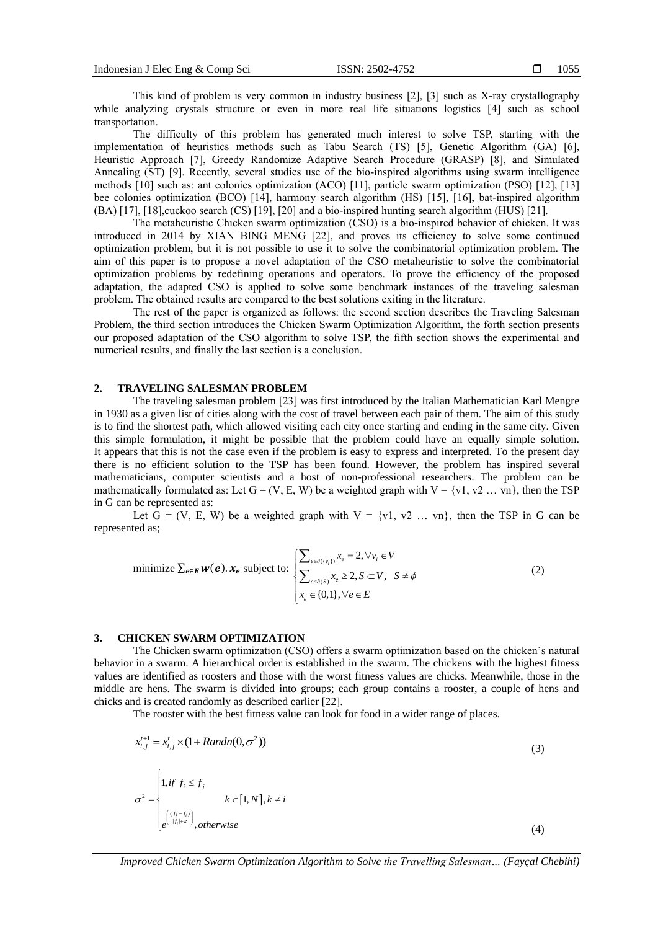This kind of problem is very common in industry business [2], [3] such as X-ray crystallography while analyzing crystals structure or even in more real life situations logistics [4] such as school transportation.

The difficulty of this problem has generated much interest to solve TSP, starting with the implementation of heuristics methods such as Tabu Search (TS) [5], Genetic Algorithm (GA) [6], Heuristic Approach [7], Greedy Randomize Adaptive Search Procedure (GRASP) [8], and Simulated Annealing (ST) [9]. Recently, several studies use of the bio-inspired algorithms using swarm intelligence methods [10] such as: ant colonies optimization (ACO) [11], particle swarm optimization (PSO) [12], [13] bee colonies optimization (BCO) [14], harmony search algorithm (HS) [15], [16], bat-inspired algorithm (BA) [17], [18],cuckoo search (CS) [19], [20] and a bio-inspired hunting search algorithm (HUS) [21].

The metaheuristic Chicken swarm optimization (CSO) is a bio-inspired behavior of chicken. It was introduced in 2014 by XIAN BING MENG [22], and proves its efficiency to solve some continued optimization problem, but it is not possible to use it to solve the combinatorial optimization problem. The aim of this paper is to propose a novel adaptation of the CSO metaheuristic to solve the combinatorial optimization problems by redefining operations and operators. To prove the efficiency of the proposed adaptation, the adapted CSO is applied to solve some benchmark instances of the traveling salesman problem. The obtained results are compared to the best solutions exiting in the literature.

The rest of the paper is organized as follows: the second section describes the Traveling Salesman Problem, the third section introduces the Chicken Swarm Optimization Algorithm, the forth section presents our proposed adaptation of the CSO algorithm to solve TSP, the fifth section shows the experimental and numerical results, and finally the last section is a conclusion.

### **2. TRAVELING SALESMAN PROBLEM**

The traveling salesman problem [23] was first introduced by the Italian Mathematician Karl Mengre in 1930 as a given list of cities along with the cost of travel between each pair of them. The aim of this study is to find the shortest path, which allowed visiting each city once starting and ending in the same city. Given this simple formulation, it might be possible that the problem could have an equally simple solution. It appears that this is not the case even if the problem is easy to express and interpreted. To the present day there is no efficient solution to the TSP has been found. However, the problem has inspired several mathematicians, computer scientists and a host of non-professional researchers. The problem can be mathematically formulated as: Let  $G = (V, E, W)$  be a weighted graph with  $V = \{v1, v2 \dots vn\}$ , then the TSP in G can be represented as:

Let  $\tilde{G} = (V, E, W)$  be a weighted graph with  $V = \{v1, v2 \dots vn\}$ , then the TSP in G can be represented as;

minimize 
$$
\sum_{e \in E} w(e)
$$
.  $x_e$  subject to: 
$$
\sum_{e \in \partial(v_i)} x_e = 2, \forall v_i \in V
$$

$$
\sum_{e \in \partial(S)} x_e \ge 2, S \subset V, S \ne \phi
$$

$$
x_e \in \{0,1\}, \forall e \in E
$$
 (2)

#### **3. CHICKEN SWARM OPTIMIZATION**

The Chicken swarm optimization (CSO) offers a swarm optimization based on the chicken's natural behavior in a swarm. A hierarchical order is established in the swarm. The chickens with the highest fitness values are identified as roosters and those with the worst fitness values are chicks. Meanwhile, those in the middle are hens. The swarm is divided into groups; each group contains a rooster, a couple of hens and chicks and is created randomly as described earlier [22].

The rooster with the best fitness value can look for food in a wider range of places.

$$
x_{i,j}^{t+1} = x_{i,j}^t \times (1 + Random(0, \sigma^2))
$$
\n
$$
\sigma^2 = \begin{cases}\n1, & \text{if } f_i \le f_j \\
k \in [1, N], & k \ne i \\
e^{\left(\frac{(f_k - f_i)}{|f_i| + \epsilon}\right)}, & \text{otherwise}\n\end{cases}
$$
\n(3)

*Improved Chicken Swarm Optimization Algorithm to Solve the Travelling Salesman… (Fayçal Chebihi)*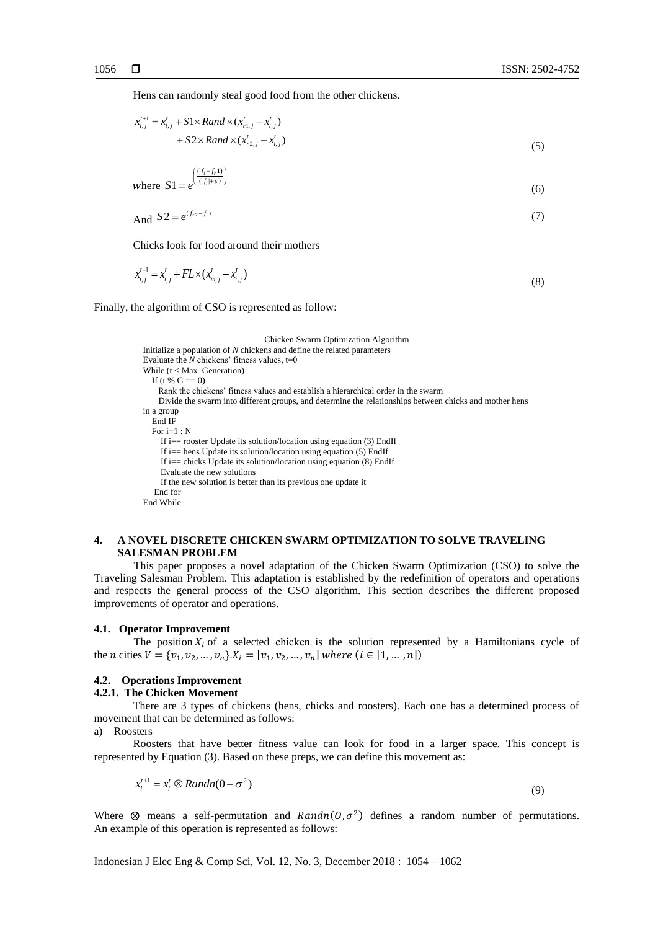Hens can randomly steal good food from the other chickens.

$$
x_{i,j}^{t+1} = x_{i,j}^t + S1 \times Rand \times (x_{r1,j}^t - x_{i,j}^t) + S2 \times Rand \times (x_{r2,j}^t - x_{i,j}^t)
$$
\n(5)

where 
$$
S1 = e^{\left(\frac{(f_i - f_r)}{(f_i + \varepsilon)}\right)}
$$
(6)

$$
And S2 = e^{(f_{r2} - f_i)}
$$
\n<sup>(7)</sup>

Chicks look for food around their mothers

$$
x_{i,j}^{t+1} = x_{i,j}^t + FL \times (x_{m,j}^t - x_{i,j}^t)
$$
\n(8)

Finally, the algorithm of CSO is represented as follow:

| Chicken Swarm Optimization Algorithm                                                                   |
|--------------------------------------------------------------------------------------------------------|
| Initialize a population of $N$ chickens and define the related parameters                              |
| Evaluate the N chickens' fitness values, $t=0$                                                         |
| While $(t < Max$ Generation)                                                                           |
| If (t % $G == 0$ )                                                                                     |
| Rank the chickens' fitness values and establish a hierarchical order in the swarm                      |
| Divide the swarm into different groups, and determine the relationships between chicks and mother hens |
| in a group                                                                                             |
| End IF                                                                                                 |
| For $i=1:N$                                                                                            |
| If i $==$ rooster Update its solution/location using equation (3) EndIf                                |
| If i $=$ hens Update its solution/location using equation (5) EndIf                                    |
| If i $=$ chicks Update its solution/location using equation (8) EndIf                                  |
| Evaluate the new solutions                                                                             |
| If the new solution is better than its previous one update it                                          |
| End for                                                                                                |
| End While                                                                                              |

# **4. A NOVEL DISCRETE CHICKEN SWARM OPTIMIZATION TO SOLVE TRAVELING SALESMAN PROBLEM**

This paper proposes a novel adaptation of the Chicken Swarm Optimization (CSO) to solve the Traveling Salesman Problem. This adaptation is established by the redefinition of operators and operations and respects the general process of the CSO algorithm. This section describes the different proposed improvements of operator and operations.

#### **4.1. Operator Improvement**

The position  $X_i$  of a selected chicken<sub>i</sub> is the solution represented by a Hamiltonians cycle of the *n* cities  $V = \{v_1, v_2, ..., v_n\}$ . $X_i = [v_1, v_2, ..., v_n]$  where  $(i \in [1, ..., n])$ 

#### **4.2. Operations Improvement**

#### **4.2.1. The Chicken Movement**

There are 3 types of chickens (hens, chicks and roosters). Each one has a determined process of movement that can be determined as follows:

a) Roosters

Roosters that have better fitness value can look for food in a larger space. This concept is represented by Equation (3). Based on these preps, we can define this movement as:

$$
x_i^{t+1} = x_i^t \otimes \text{Random}(0 - \sigma^2)
$$
\n<sup>(9)</sup>

Where  $\otimes$  means a self-permutation and *Randn*( $0, \sigma^2$ ) defines a random number of permutations. An example of this operation is represented as follows: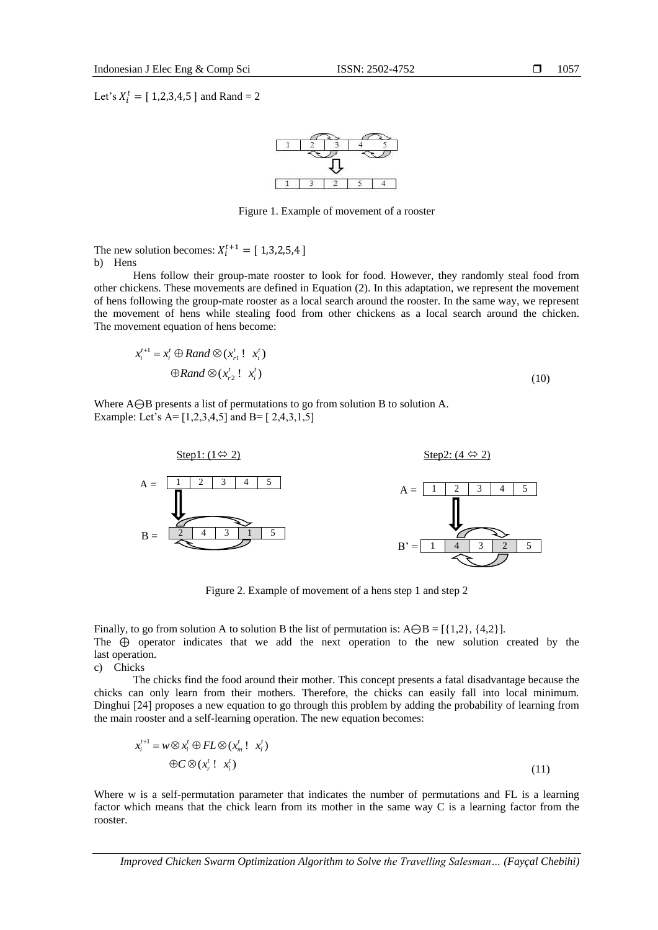1057

Let's  $X_i^t = [1,2,3,4,5]$  and Rand = 2



Figure 1. Example of movement of a rooster

The new solution becomes:  $X_i^{t+1} = [1,3,2,5,4]$ b) Hens

Hens follow their group-mate rooster to look for food. However, they randomly steal food from other chickens. These movements are defined in Equation (2). In this adaptation, we represent the movement of hens following the group-mate rooster as a local search around the rooster. In the same way, we represent the movement of hens while stealing food from other chickens as a local search around the chicken. The movement equation of hens become:

$$
x_i^{t+1} = x_i^t \oplus Rand \otimes (x_{r1}^t! x_i^t)
$$
  

$$
\oplus Rand \otimes (x_{r2}^t! x_i^t)
$$
 (10)

Where A⊖B presents a list of permutations to go from solution B to solution A. Example: Let's  $A = [1, 2, 3, 4, 5]$  and  $B = [2, 4, 3, 1, 5]$ 



Figure 2. Example of movement of a hens step 1 and step 2

Finally, to go from solution A to solution B the list of permutation is: A $\Theta$ B = [{1,2}, {4,2}]. The ⊕ operator indicates that we add the next operation to the new solution created by the last operation.

c) Chicks

The chicks find the food around their mother. This concept presents a fatal disadvantage because the chicks can only learn from their mothers. Therefore, the chicks can easily fall into local minimum. Dinghui [24] proposes a new equation to go through this problem by adding the probability of learning from the main rooster and a self-learning operation. The new equation becomes:

$$
x_i^{t+1} = w \otimes x_i^t \oplus FL \otimes (x_m^t! x_i^t)
$$
  
\n
$$
\oplus C \otimes (x_r^t! x_i^t)
$$
\n(11)

Where w is a self-permutation parameter that indicates the number of permutations and FL is a learning factor which means that the chick learn from its mother in the same way C is a learning factor from the rooster.

*Improved Chicken Swarm Optimization Algorithm to Solve the Travelling Salesman… (Fayçal Chebihi)*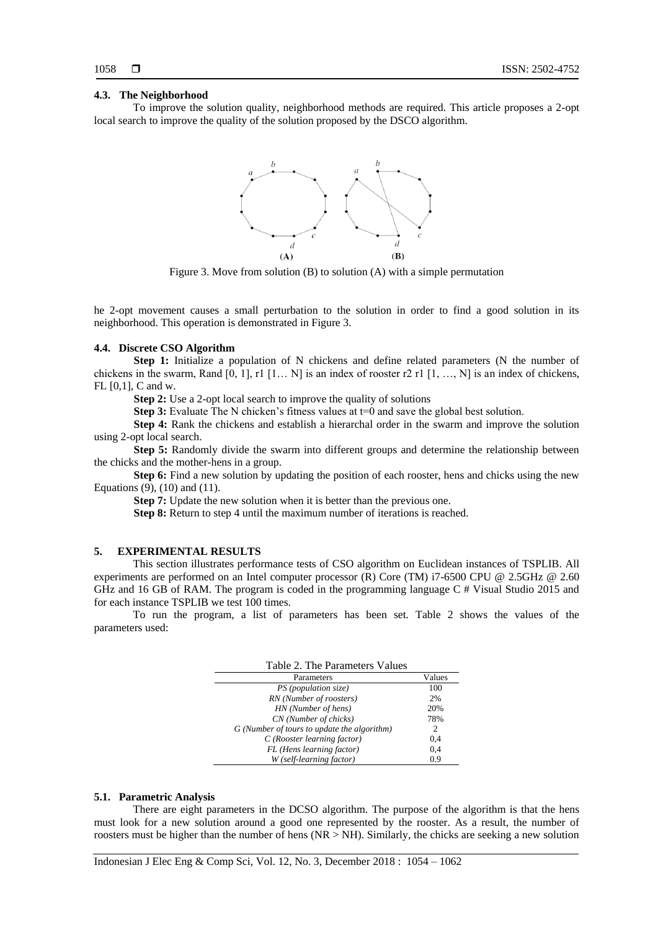#### **4.3. The Neighborhood**

To improve the solution quality, neighborhood methods are required. This article proposes a 2-opt local search to improve the quality of the solution proposed by the DSCO algorithm.



Figure 3. Move from solution (B) to solution (A) with a simple permutation

he 2-opt movement causes a small perturbation to the solution in order to find a good solution in its neighborhood. This operation is demonstrated in Figure 3.

## **4.4. Discrete CSO Algorithm**

Step 1: Initialize a population of N chickens and define related parameters (N the number of chickens in the swarm, Rand [0, 1], r1 [1... N] is an index of rooster r2 r1 [1, ..., N] is an index of chickens, FL [0,1], C and w.

**Step 2:** Use a 2-opt local search to improve the quality of solutions

**Step 3:** Evaluate The N chicken's fitness values at t=0 and save the global best solution.

**Step 4:** Rank the chickens and establish a hierarchal order in the swarm and improve the solution using 2-opt local search.

**Step 5:** Randomly divide the swarm into different groups and determine the relationship between the chicks and the mother-hens in a group.

**Step 6:** Find a new solution by updating the position of each rooster, hens and chicks using the new Equations (9), (10) and (11).

**Step 7:** Update the new solution when it is better than the previous one.

**Step 8:** Return to step 4 until the maximum number of iterations is reached.

## **5. EXPERIMENTAL RESULTS**

This section illustrates performance tests of CSO algorithm on Euclidean instances of TSPLIB. All experiments are performed on an Intel computer processor (R) Core (TM) i7-6500 CPU @ 2.5GHz @ 2.60 GHz and 16 GB of RAM. The program is coded in the programming language C # Visual Studio 2015 and for each instance TSPLIB we test 100 times.

To run the program, a list of parameters has been set. Table 2 shows the values of the parameters used:

| Table 2. The Parameters Values              |        |  |  |  |
|---------------------------------------------|--------|--|--|--|
| Parameters                                  | Values |  |  |  |
| PS (population size)                        | 100    |  |  |  |
| RN (Number of roosters)                     | 2%     |  |  |  |
| HN (Number of hens)                         | 20%    |  |  |  |
| CN (Number of chicks)                       | 78%    |  |  |  |
| G (Number of tours to update the algorithm) | 2      |  |  |  |
| C(Rooster learning factor)                  | 0.4    |  |  |  |
| FL (Hens learning factor)                   | 0.4    |  |  |  |
| W (self-learning factor)                    | 0.9    |  |  |  |

#### **5.1. Parametric Analysis**

There are eight parameters in the DCSO algorithm. The purpose of the algorithm is that the hens must look for a new solution around a good one represented by the rooster. As a result, the number of roosters must be higher than the number of hens (NR > NH). Similarly, the chicks are seeking a new solution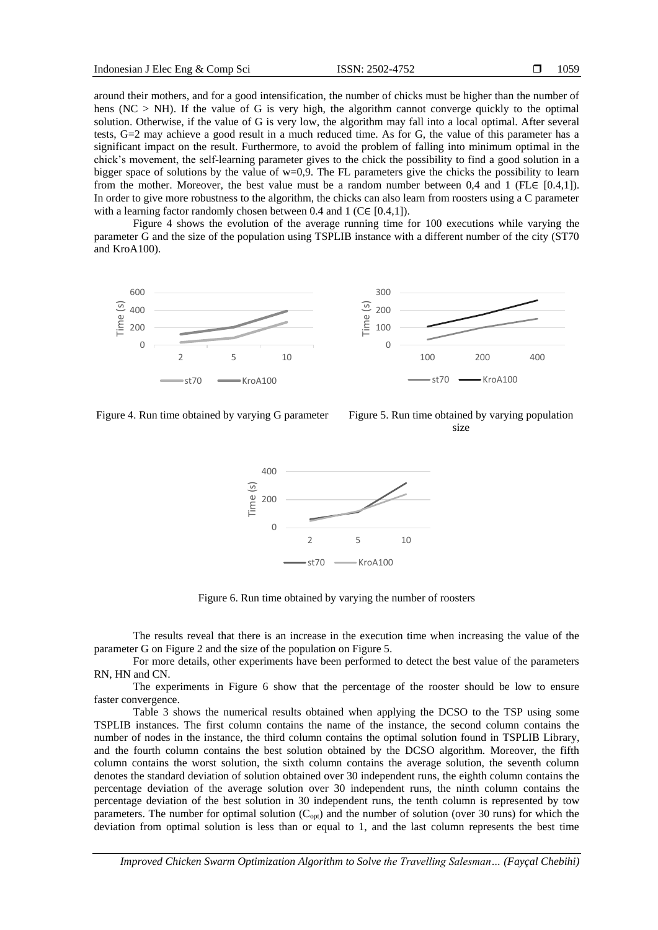around their mothers, and for a good intensification, the number of chicks must be higher than the number of hens ( $NC > NH$ ). If the value of G is very high, the algorithm cannot converge quickly to the optimal solution. Otherwise, if the value of G is very low, the algorithm may fall into a local optimal. After several tests, G=2 may achieve a good result in a much reduced time. As for G, the value of this parameter has a significant impact on the result. Furthermore, to avoid the problem of falling into minimum optimal in the chick's movement, the self-learning parameter gives to the chick the possibility to find a good solution in a bigger space of solutions by the value of w=0,9. The FL parameters give the chicks the possibility to learn from the mother. Moreover, the best value must be a random number between 0,4 and 1 (FL $\in$  [0.4,1]). In order to give more robustness to the algorithm, the chicks can also learn from roosters using a C parameter with a learning factor randomly chosen between 0.4 and 1 (C∈ [0.4,1]).

Figure 4 shows the evolution of the average running time for 100 executions while varying the parameter G and the size of the population using TSPLIB instance with a different number of the city (ST70 and KroA100).



Figure 4. Run time obtained by varying G parameter Figure 5. Run time obtained by varying population

size



Figure 6. Run time obtained by varying the number of roosters

The results reveal that there is an increase in the execution time when increasing the value of the parameter G on Figure 2 and the size of the population on Figure 5.

For more details, other experiments have been performed to detect the best value of the parameters RN, HN and CN.

The experiments in Figure 6 show that the percentage of the rooster should be low to ensure faster convergence.

Table 3 shows the numerical results obtained when applying the DCSO to the TSP using some TSPLIB instances. The first column contains the name of the instance, the second column contains the number of nodes in the instance, the third column contains the optimal solution found in TSPLIB Library, and the fourth column contains the best solution obtained by the DCSO algorithm. Moreover, the fifth column contains the worst solution, the sixth column contains the average solution, the seventh column denotes the standard deviation of solution obtained over 30 independent runs, the eighth column contains the percentage deviation of the average solution over 30 independent runs, the ninth column contains the percentage deviation of the best solution in 30 independent runs, the tenth column is represented by tow parameters. The number for optimal solution  $(C_{opt})$  and the number of solution (over 30 runs) for which the deviation from optimal solution is less than or equal to 1, and the last column represents the best time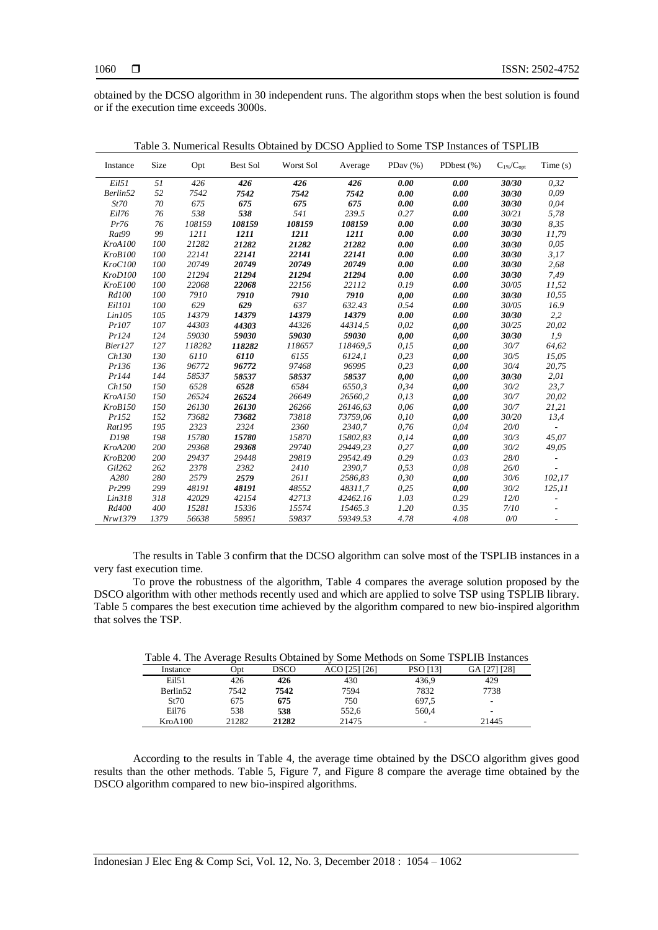obtained by the DCSO algorithm in 30 independent runs. The algorithm stops when the best solution is found or if the execution time exceeds 3000s.

| Instance       | Size | Opt    | <b>Best Sol</b> | Worst Sol | Average  | PDay $(\%)$ | PDbest $(\%)$ | $C_{1\%}/C_{\text{opt}}$ | Time(s)                  |
|----------------|------|--------|-----------------|-----------|----------|-------------|---------------|--------------------------|--------------------------|
| Eil51          | 51   | 426    | 426             | 426       | 426      | 0.00        | 0.00          | 30/30                    | 0,32                     |
| Berlin52       | 52   | 7542   | 7542            | 7542      | 7542     | 0.00        | 0.00          | 30/30                    | 0,09                     |
| St70           | 70   | 675    | 675             | 675       | 675      | 0.00        | 0.00          | 30/30                    | 0,04                     |
| Eil76          | 76   | 538    | 538             | 541       | 239.5    | 0.27        | 0.00          | 30/21                    | 5,78                     |
| Pr76           | 76   | 108159 | 108159          | 108159    | 108159   | 0.00        | 0.00          | 30/30                    | 8,35                     |
| Rat99          | 99   | 1211   | 1211            | 1211      | 1211     | 0.00        | 0.00          | 30/30                    | 11,79                    |
| KroA100        | 100  | 21282  | 21282           | 21282     | 21282    | 0.00        | 0.00          | 30/30                    | 0,05                     |
| KroB100        | 100  | 22141  | 22141           | 22141     | 22141    | 0.00        | 0.00          | 30/30                    | 3,17                     |
| KroC100        | 100  | 20749  | 20749           | 20749     | 20749    | 0.00        | 0.00          | 30/30                    | 2,68                     |
| KroD100        | 100  | 21294  | 21294           | 21294     | 21294    | 0.00        | 0.00          | 30/30                    | 7,49                     |
| KroE100        | 100  | 22068  | 22068           | 22156     | 22112    | 0.19        | 0.00          | 30/05                    | 11,52                    |
| Rd100          | 100  | 7910   | 7910            | 7910      | 7910     | 0,00        | 0.00          | 30/30                    | 10,55                    |
| Eil101         | 100  | 629    | 629             | 637       | 632.43   | 0.54        | 0.00          | 30/05                    | 16.9                     |
| Lin105         | 105  | 14379  | 14379           | 14379     | 14379    | 0.00        | 0.00          | 30/30                    | 2,2                      |
| Pr107          | 107  | 44303  | 44303           | 44326     | 44314,5  | 0,02        | 0,00          | 30/25                    | 20,02                    |
| Pr124          | 124  | 59030  | 59030           | 59030     | 59030    | 0.00        | 0,00          | 30/30                    | 1,9                      |
| Bier127        | 127  | 118282 | 118282          | 118657    | 118469.5 | 0.15        | 0,00          | 30/7                     | 64,62                    |
| Ch130          | 130  | 6110   | 6110            | 6155      | 6124,1   | 0,23        | 0,00          | 30/5                     | 15,05                    |
| Pr136          | 136  | 96772  | 96772           | 97468     | 96995    | 0,23        | 0,00          | 30/4                     | 20,75                    |
| Pr144          | 144  | 58537  | 58537           | 58537     | 58537    | 0,00        | 0,00          | 30/30                    | 2,01                     |
| Ch150          | 150  | 6528   | 6528            | 6584      | 6550,3   | 0,34        | 0,00          | 30/2                     | 23,7                     |
| KroA150        | 150  | 26524  | 26524           | 26649     | 26560,2  | 0.13        | 0,00          | 30/7                     | 20,02                    |
| KroB150        | 150  | 26130  | 26130           | 26266     | 26146.63 | 0.06        | 0,00          | 30/7                     | 21,21                    |
| Pr152          | 152  | 73682  | 73682           | 73818     | 73759.06 | 0,10        | 0,00          | 30/20                    | 13,4                     |
| Rat195         | 195  | 2323   | 2324            | 2360      | 2340,7   | 0,76        | 0,04          | 20/0                     | $\overline{a}$           |
| D198           | 198  | 15780  | 15780           | 15870     | 15802,83 | 0,14        | 0,00          | 30/3                     | 45,07                    |
| KroA200        | 200  | 29368  | 29368           | 29740     | 29449,23 | 0,27        | 0,00          | 30/2                     | 49,05                    |
| <b>KroB200</b> | 200  | 29437  | 29448           | 29819     | 29542.49 | 0.29        | 0.03          | 28/0                     |                          |
| Gil262         | 262  | 2378   | 2382            | 2410      | 2390,7   | 0,53        | 0.08          | 26/0                     |                          |
| A280           | 280  | 2579   | 2579            | 2611      | 2586.83  | 0,30        | 0,00          | 30/6                     | 102,17                   |
| Pr299          | 299  | 48191  | 48191           | 48552     | 48311.7  | 0,25        | 0,00          | 30/2                     | 125,11                   |
| Lin318         | 318  | 42029  | 42154           | 42713     | 42462.16 | 1.03        | 0.29          | 12/0                     |                          |
| Rd400          | 400  | 15281  | 15336           | 15574     | 15465.3  | 1.20        | 0.35          | 7/10                     |                          |
| Nrw1379        | 1379 | 56638  | 58951           | 59837     | 59349.53 | 4.78        | 4.08          | 0/0                      | $\overline{\phantom{a}}$ |

Table 3. Numerical Results Obtained by DCSO Applied to Some TSP Instances of TSPLIB

The results in Table 3 confirm that the DCSO algorithm can solve most of the TSPLIB instances in a very fast execution time.

To prove the robustness of the algorithm, Table 4 compares the average solution proposed by the DSCO algorithm with other methods recently used and which are applied to solve TSP using TSPLIB library. Table 5 compares the best execution time achieved by the algorithm compared to new bio-inspired algorithm that solves the TSP.

| Table 4. The Average Results Obtained by Some Methods on Some TSPLIB Instances |       |             |               |                 |              |  |
|--------------------------------------------------------------------------------|-------|-------------|---------------|-----------------|--------------|--|
| Instance                                                                       | Opt   | <b>DSCO</b> | ACO [25] [26] | <b>PSO</b> [13] | GA [27] [28] |  |
| Ei151                                                                          | 426   | 426         | 430           | 436.9           | 429          |  |
| Berlin <sub>52</sub>                                                           | 7542  | 7542        | 7594          | 7832            | 7738         |  |
| St70                                                                           | 675   | 675         | 750           | 697.5           | -            |  |
| Eil76                                                                          | 538   | 538         | 552.6         | 560.4           | -            |  |
| KroA100                                                                        | 21282 | 21282       | 21475         |                 | 21445        |  |

According to the results in Table 4, the average time obtained by the DSCO algorithm gives good results than the other methods. Table 5, Figure 7, and Figure 8 compare the average time obtained by the DSCO algorithm compared to new bio-inspired algorithms.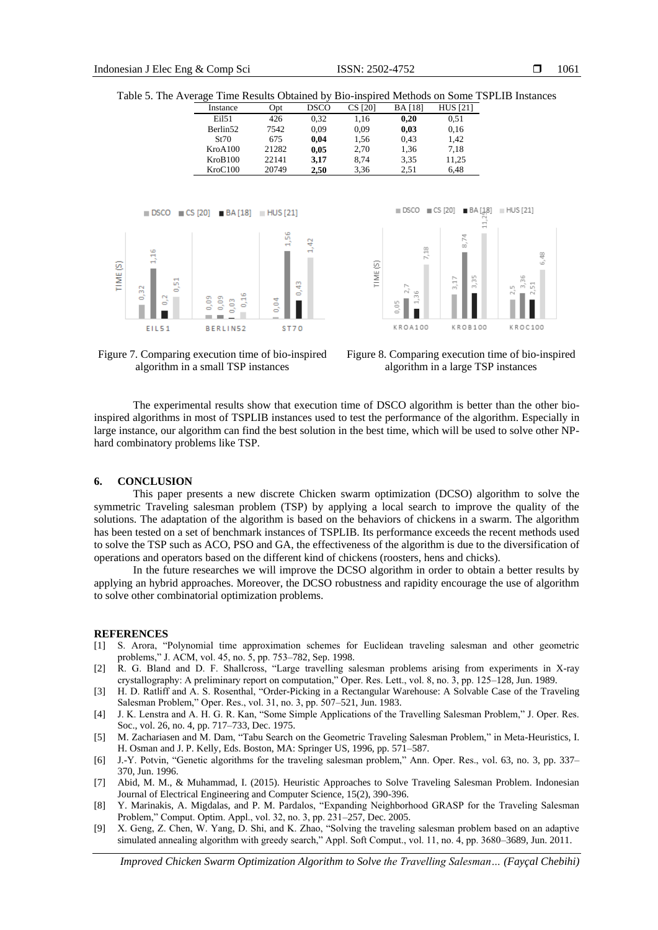Table 5. The Average Time Results Obtained by Bio-inspired Methods on Some TSPLIB Instances

| Instance             | Opt   | <b>DSCO</b> | CS [20] | BA [18] | <b>HUS</b> [21] |
|----------------------|-------|-------------|---------|---------|-----------------|
| Ei151                | 426   | 0.32        | 1,16    | 0.20    | 0.51            |
| Berlin <sub>52</sub> | 7542  | 0.09        | 0.09    | 0,03    | 0,16            |
| St70                 | 675   | 0,04        | 1,56    | 0.43    | 1,42            |
| KroA100              | 21282 | 0,05        | 2,70    | 1,36    | 7.18            |
| KroB100              | 22141 | 3,17        | 8.74    | 3,35    | 11,25           |
| KroC100              | 20749 | 2.50        | 3.36    | 2.51    | 6.48            |





Figure 7. Comparing execution time of bio-inspired algorithm in a small TSP instances

Figure 8. Comparing execution time of bio-inspired algorithm in a large TSP instances

The experimental results show that execution time of DSCO algorithm is better than the other bioinspired algorithms in most of TSPLIB instances used to test the performance of the algorithm. Especially in large instance, our algorithm can find the best solution in the best time, which will be used to solve other NPhard combinatory problems like TSP.

## **6. CONCLUSION**

This paper presents a new discrete Chicken swarm optimization (DCSO) algorithm to solve the symmetric Traveling salesman problem (TSP) by applying a local search to improve the quality of the solutions. The adaptation of the algorithm is based on the behaviors of chickens in a swarm. The algorithm has been tested on a set of benchmark instances of TSPLIB. Its performance exceeds the recent methods used to solve the TSP such as ACO, PSO and GA, the effectiveness of the algorithm is due to the diversification of operations and operators based on the different kind of chickens (roosters, hens and chicks).

In the future researches we will improve the DCSO algorithm in order to obtain a better results by applying an hybrid approaches. Moreover, the DCSO robustness and rapidity encourage the use of algorithm to solve other combinatorial optimization problems.

#### **REFERENCES**

- [1] S. Arora, "Polynomial time approximation schemes for Euclidean traveling salesman and other geometric problems," J. ACM, vol. 45, no. 5, pp. 753–782, Sep. 1998.
- [2] R. G. Bland and D. F. Shallcross, "Large travelling salesman problems arising from experiments in X-ray crystallography: A preliminary report on computation," Oper. Res. Lett., vol. 8, no. 3, pp. 125–128, Jun. 1989.
- [3] H. D. Ratliff and A. S. Rosenthal, "Order-Picking in a Rectangular Warehouse: A Solvable Case of the Traveling Salesman Problem," Oper. Res., vol. 31, no. 3, pp. 507–521, Jun. 1983.
- [4] J. K. Lenstra and A. H. G. R. Kan, "Some Simple Applications of the Travelling Salesman Problem," J. Oper. Res. Soc., vol. 26, no. 4, pp. 717–733, Dec. 1975.
- [5] M. Zachariasen and M. Dam, "Tabu Search on the Geometric Traveling Salesman Problem," in Meta-Heuristics, I. H. Osman and J. P. Kelly, Eds. Boston, MA: Springer US, 1996, pp. 571–587.
- [6] J.-Y. Potvin, "Genetic algorithms for the traveling salesman problem," Ann. Oper. Res., vol. 63, no. 3, pp. 337– 370, Jun. 1996.
- [7] Abid, M. M., & Muhammad, I. (2015). Heuristic Approaches to Solve Traveling Salesman Problem. Indonesian Journal of Electrical Engineering and Computer Science, 15(2), 390-396.
- [8] Y. Marinakis, A. Migdalas, and P. M. Pardalos, "Expanding Neighborhood GRASP for the Traveling Salesman Problem," Comput. Optim. Appl., vol. 32, no. 3, pp. 231–257, Dec. 2005.
- [9] X. Geng, Z. Chen, W. Yang, D. Shi, and K. Zhao, "Solving the traveling salesman problem based on an adaptive simulated annealing algorithm with greedy search," Appl. Soft Comput., vol. 11, no. 4, pp. 3680–3689, Jun. 2011.

*Improved Chicken Swarm Optimization Algorithm to Solve the Travelling Salesman… (Fayçal Chebihi)*